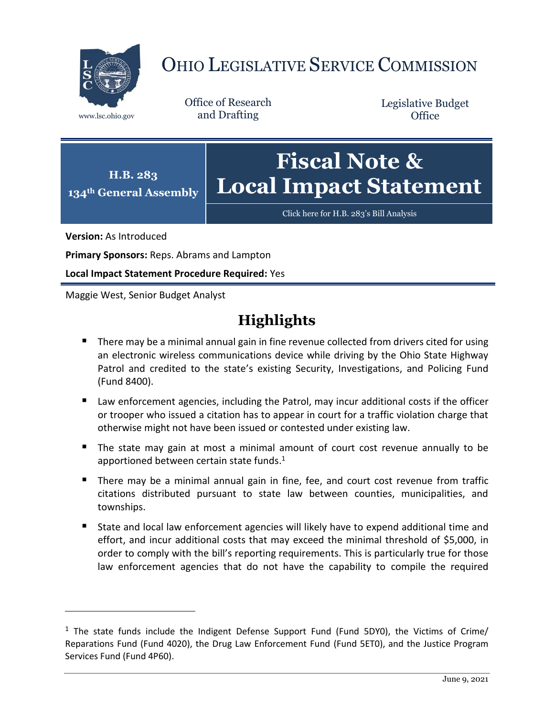

# OHIO LEGISLATIVE SERVICE COMMISSION

Office of Research www.lsc.ohio.gov and Drafting

Legislative Budget **Office** 



[Click here for H.B. 283](https://www.legislature.ohio.gov/legislation/legislation-documents?id=GA134-HB-283)'s Bill Analysis

**Version:** As Introduced

 $\overline{a}$ 

**Primary Sponsors:** Reps. Abrams and Lampton

**Local Impact Statement Procedure Required:** Yes

Maggie West, Senior Budget Analyst

# **Highlights**

- **There may be a minimal annual gain in fine revenue collected from drivers cited for using** an electronic wireless communications device while driving by the Ohio State Highway Patrol and credited to the state's existing Security, Investigations, and Policing Fund (Fund 8400).
- Law enforcement agencies, including the Patrol, may incur additional costs if the officer or trooper who issued a citation has to appear in court for a traffic violation charge that otherwise might not have been issued or contested under existing law.
- The state may gain at most a minimal amount of court cost revenue annually to be apportioned between certain state funds. 1
- **There may be a minimal annual gain in fine, fee, and court cost revenue from traffic** citations distributed pursuant to state law between counties, municipalities, and townships.
- State and local law enforcement agencies will likely have to expend additional time and effort, and incur additional costs that may exceed the minimal threshold of \$5,000, in order to comply with the bill's reporting requirements. This is particularly true for those law enforcement agencies that do not have the capability to compile the required

 $1$  The state funds include the Indigent Defense Support Fund (Fund 5DY0), the Victims of Crime/ Reparations Fund (Fund 4020), the Drug Law Enforcement Fund (Fund 5ET0), and the Justice Program Services Fund (Fund 4P60).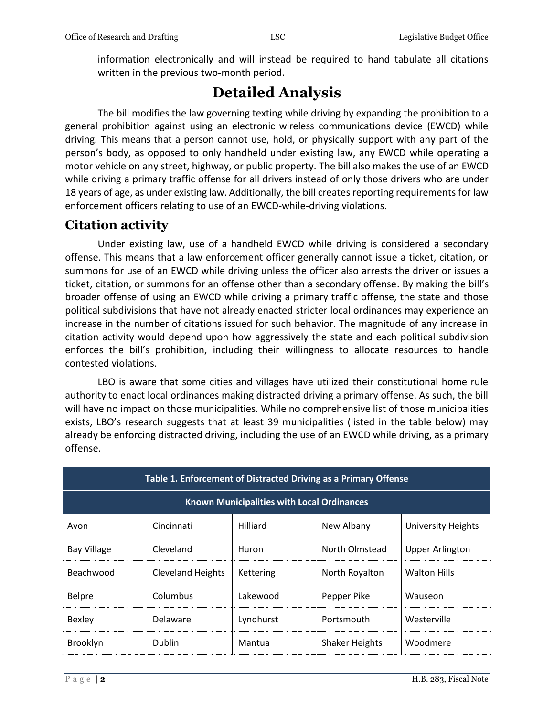written in the previous two-month period.

## **Detailed Analysis**

The bill modifies the law governing texting while driving by expanding the prohibition to a general prohibition against using an electronic wireless communications device (EWCD) while driving. This means that a person cannot use, hold, or physically support with any part of the person's body, as opposed to only handheld under existing law, any EWCD while operating a motor vehicle on any street, highway, or public property. The bill also makes the use of an EWCD while driving a primary traffic offense for all drivers instead of only those drivers who are under 18 years of age, as under existing law. Additionally, the bill creates reporting requirements for law enforcement officers relating to use of an EWCD-while-driving violations.

## **Citation activity**

Under existing law, use of a handheld EWCD while driving is considered a secondary offense. This means that a law enforcement officer generally cannot issue a ticket, citation, or summons for use of an EWCD while driving unless the officer also arrests the driver or issues a ticket, citation, or summons for an offense other than a secondary offense. By making the bill's broader offense of using an EWCD while driving a primary traffic offense, the state and those political subdivisions that have not already enacted stricter local ordinances may experience an increase in the number of citations issued for such behavior. The magnitude of any increase in citation activity would depend upon how aggressively the state and each political subdivision enforces the bill's prohibition, including their willingness to allocate resources to handle contested violations.

LBO is aware that some cities and villages have utilized their constitutional home rule authority to enact local ordinances making distracted driving a primary offense. As such, the bill will have no impact on those municipalities. While no comprehensive list of those municipalities exists, LBO's research suggests that at least 39 municipalities (listed in the table below) may already be enforcing distracted driving, including the use of an EWCD while driving, as a primary offense.

| Table 1. Enforcement of Distracted Driving as a Primary Offense |                          |           |                       |                           |  |  |
|-----------------------------------------------------------------|--------------------------|-----------|-----------------------|---------------------------|--|--|
| <b>Known Municipalities with Local Ordinances</b>               |                          |           |                       |                           |  |  |
| Avon                                                            | Cincinnati               | Hilliard  | New Albany            | <b>University Heights</b> |  |  |
| <b>Bay Village</b>                                              | Cleveland                | Huron     | North Olmstead        | <b>Upper Arlington</b>    |  |  |
| Beachwood                                                       | <b>Cleveland Heights</b> | Kettering | North Royalton        | <b>Walton Hills</b>       |  |  |
| Belpre                                                          | Columbus                 | Lakewood  | Pepper Pike           | Wauseon                   |  |  |
| <b>Bexley</b>                                                   | Delaware                 | Lyndhurst | Portsmouth            | Westerville               |  |  |
| Brooklyn                                                        | <b>Dublin</b>            | Mantua    | <b>Shaker Heights</b> | Woodmere                  |  |  |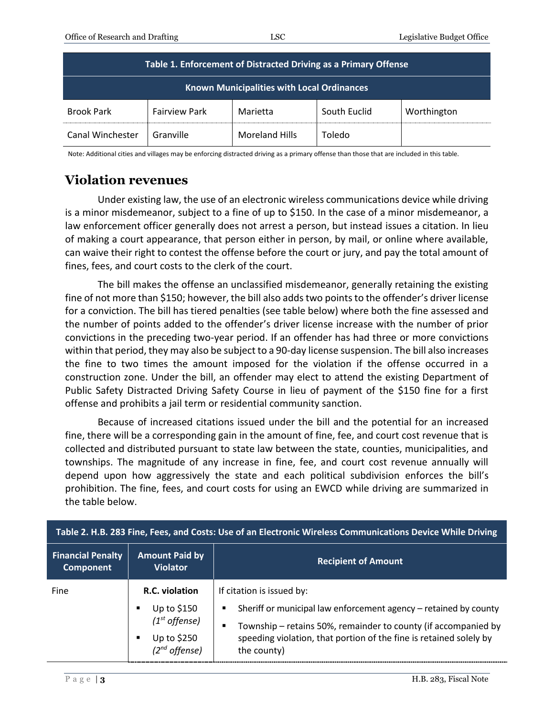| Table 1. Enforcement of Distracted Driving as a Primary Offense |                      |                       |              |             |  |  |
|-----------------------------------------------------------------|----------------------|-----------------------|--------------|-------------|--|--|
| <b>Known Municipalities with Local Ordinances</b>               |                      |                       |              |             |  |  |
| <b>Brook Park</b>                                               | <b>Fairview Park</b> | Marietta              | South Euclid | Worthington |  |  |
| Canal Winchester                                                | Granville            | <b>Moreland Hills</b> | Toledo       |             |  |  |

Note: Additional cities and villages may be enforcing distracted driving as a primary offense than those that are included in this table.

## **Violation revenues**

Under existing law, the use of an electronic wireless communications device while driving is a minor misdemeanor, subject to a fine of up to \$150. In the case of a minor misdemeanor, a law enforcement officer generally does not arrest a person, but instead issues a citation. In lieu of making a court appearance, that person either in person, by mail, or online where available, can waive their right to contest the offense before the court or jury, and pay the total amount of fines, fees, and court costs to the clerk of the court.

The bill makes the offense an unclassified misdemeanor, generally retaining the existing fine of not more than \$150; however, the bill also adds two points to the offender's driver license for a conviction. The bill has tiered penalties (see table below) where both the fine assessed and the number of points added to the offender's driver license increase with the number of prior convictions in the preceding two-year period. If an offender has had three or more convictions within that period, they may also be subject to a 90-day license suspension. The bill also increases the fine to two times the amount imposed for the violation if the offense occurred in a construction zone. Under the bill, an offender may elect to attend the existing Department of Public Safety Distracted Driving Safety Course in lieu of payment of the \$150 fine for a first offense and prohibits a jail term or residential community sanction.

Because of increased citations issued under the bill and the potential for an increased fine, there will be a corresponding gain in the amount of fine, fee, and court cost revenue that is collected and distributed pursuant to state law between the state, counties, municipalities, and townships. The magnitude of any increase in fine, fee, and court cost revenue annually will depend upon how aggressively the state and each political subdivision enforces the bill's prohibition. The fine, fees, and court costs for using an EWCD while driving are summarized in the table below.

| Table 2. H.B. 283 Fine, Fees, and Costs: Use of an Electronic Wireless Communications Device While Driving |                                                                                                              |                                                                                                                                                                                                                                                                |  |  |
|------------------------------------------------------------------------------------------------------------|--------------------------------------------------------------------------------------------------------------|----------------------------------------------------------------------------------------------------------------------------------------------------------------------------------------------------------------------------------------------------------------|--|--|
| <b>Financial Penalty</b><br><b>Component</b>                                                               | <b>Amount Paid by</b><br><b>Violator</b>                                                                     | <b>Recipient of Amount</b>                                                                                                                                                                                                                                     |  |  |
| Fine                                                                                                       | R.C. violation<br>Up to \$150<br>п<br>$(1st$ offense)<br>Up to \$250<br>$\blacksquare$<br>$(2^{nd}$ offense) | If citation is issued by:<br>Sheriff or municipal law enforcement agency – retained by county<br>п<br>Township - retains 50%, remainder to county (if accompanied by<br>п<br>speeding violation, that portion of the fine is retained solely by<br>the county) |  |  |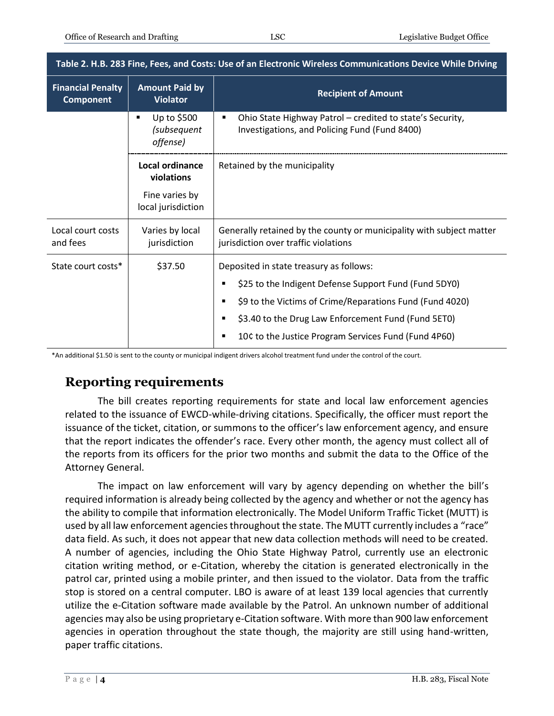| Table 2. H.B. 283 Fine, Fees, and Costs: Use of an Electronic Wireless Communications Device While Driving |                                             |                                                                                                                 |  |  |
|------------------------------------------------------------------------------------------------------------|---------------------------------------------|-----------------------------------------------------------------------------------------------------------------|--|--|
| <b>Financial Penalty</b><br><b>Component</b>                                                               | <b>Amount Paid by</b><br><b>Violator</b>    | <b>Recipient of Amount</b>                                                                                      |  |  |
|                                                                                                            | Up to \$500<br>٠<br>(subsequent<br>offense) | Ohio State Highway Patrol - credited to state's Security,<br>п<br>Investigations, and Policing Fund (Fund 8400) |  |  |
|                                                                                                            | Local ordinance<br>violations               | Retained by the municipality                                                                                    |  |  |
|                                                                                                            | Fine varies by<br>local jurisdiction        |                                                                                                                 |  |  |
| Local court costs<br>and fees                                                                              | Varies by local<br>jurisdiction             | Generally retained by the county or municipality with subject matter<br>jurisdiction over traffic violations    |  |  |
| State court costs*                                                                                         | \$37.50                                     | Deposited in state treasury as follows:                                                                         |  |  |
|                                                                                                            |                                             | \$25 to the Indigent Defense Support Fund (Fund 5DY0)<br>п                                                      |  |  |
|                                                                                                            |                                             | \$9 to the Victims of Crime/Reparations Fund (Fund 4020)<br>п                                                   |  |  |
|                                                                                                            |                                             | \$3.40 to the Drug Law Enforcement Fund (Fund 5ET0)<br>п                                                        |  |  |
|                                                                                                            |                                             | 10¢ to the Justice Program Services Fund (Fund 4P60)<br>п                                                       |  |  |

\*An additional \$1.50 is sent to the county or municipal indigent drivers alcohol treatment fund under the control of the court.

## **Reporting requirements**

The bill creates reporting requirements for state and local law enforcement agencies related to the issuance of EWCD-while-driving citations. Specifically, the officer must report the issuance of the ticket, citation, or summons to the officer's law enforcement agency, and ensure that the report indicates the offender's race. Every other month, the agency must collect all of the reports from its officers for the prior two months and submit the data to the Office of the Attorney General.

The impact on law enforcement will vary by agency depending on whether the bill's required information is already being collected by the agency and whether or not the agency has the ability to compile that information electronically. The Model Uniform Traffic Ticket (MUTT) is used by all law enforcement agencies throughout the state. The MUTT currently includes a "race" data field. As such, it does not appear that new data collection methods will need to be created. A number of agencies, including the Ohio State Highway Patrol, currently use an electronic citation writing method, or e-Citation, whereby the citation is generated electronically in the patrol car, printed using a mobile printer, and then issued to the violator. Data from the traffic stop is stored on a central computer. LBO is aware of at least 139 local agencies that currently utilize the e-Citation software made available by the Patrol. An unknown number of additional agencies may also be using proprietary e-Citation software. With more than 900 law enforcement agencies in operation throughout the state though, the majority are still using hand-written, paper traffic citations.